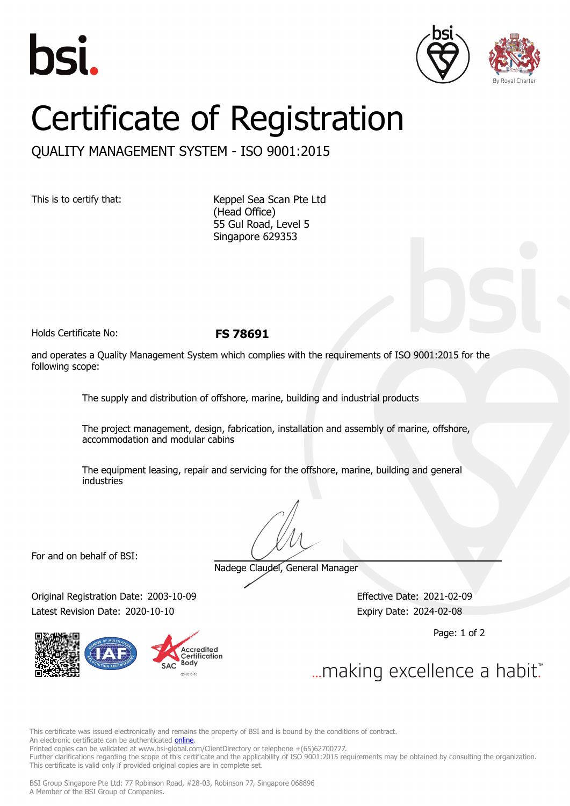





## Certificate of Registration

QUALITY MANAGEMENT SYSTEM - ISO 9001:2015

This is to certify that: Keppel Sea Scan Pte Ltd (Head Office) 55 Gul Road, Level 5 Singapore 629353

Holds Certificate No: **FS 78691**

and operates a Quality Management System which complies with the requirements of ISO 9001:2015 for the following scope:

The supply and distribution of offshore, marine, building and industrial products

The project management, design, fabrication, installation and assembly of marine, offshore, accommodation and modular cabins

The equipment leasing, repair and servicing for the offshore, marine, building and general industries

For and on behalf of BSI:

Nadege Claudel, General Manager

Original Registration Date: 2003-10-09 Effective Date: 2021-02-09 Latest Revision Date: 2020-10-10 **Expiry Date: 2024-02-08** 

**Accredited** ............<br>Certification Body

Page: 1 of 2

... making excellence a habit."

This certificate was issued electronically and remains the property of BSI and is bound by the conditions of contract. An electronic certificate can be authenticated *[online](https://pgplus.bsigroup.com/CertificateValidation/CertificateValidator.aspx?CertificateNumber=FS+78691&ReIssueDate=10%2f10%2f2020&Template=sing_en)*.

Printed copies can be validated at www.bsi-global.com/ClientDirectory or telephone +(65)62700777.

Further clarifications regarding the scope of this certificate and the applicability of ISO 9001:2015 requirements may be obtained by consulting the organization. This certificate is valid only if provided original copies are in complete set.

BSI Group Singapore Pte Ltd: 77 Robinson Road, #28-03, Robinson 77, Singapore 068896 A Member of the BSI Group of Companies.